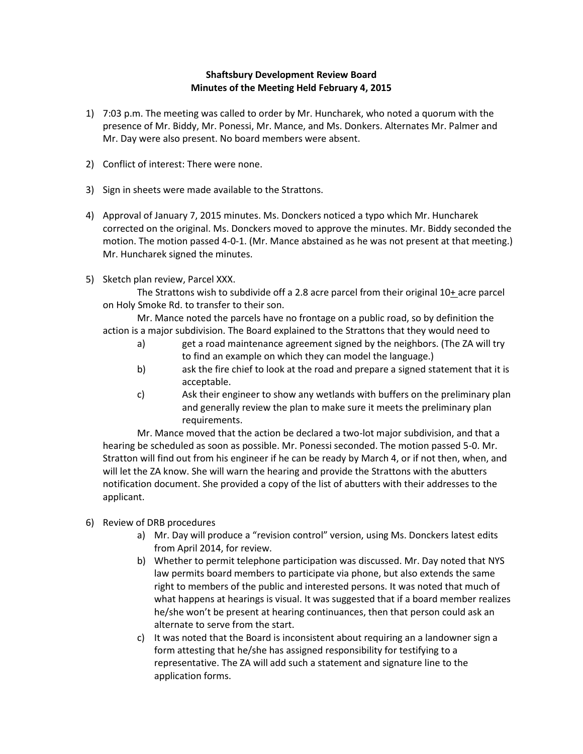## **Shaftsbury Development Review Board Minutes of the Meeting Held February 4, 2015**

- 1) 7:03 p.m. The meeting was called to order by Mr. Huncharek, who noted a quorum with the presence of Mr. Biddy, Mr. Ponessi, Mr. Mance, and Ms. Donkers. Alternates Mr. Palmer and Mr. Day were also present. No board members were absent.
- 2) Conflict of interest: There were none.
- 3) Sign in sheets were made available to the Strattons.
- 4) Approval of January 7, 2015 minutes. Ms. Donckers noticed a typo which Mr. Huncharek corrected on the original. Ms. Donckers moved to approve the minutes. Mr. Biddy seconded the motion. The motion passed 4-0-1. (Mr. Mance abstained as he was not present at that meeting.) Mr. Huncharek signed the minutes.
- 5) Sketch plan review, Parcel XXX.

The Strattons wish to subdivide off a 2.8 acre parcel from their original  $10+$  acre parcel on Holy Smoke Rd. to transfer to their son.

Mr. Mance noted the parcels have no frontage on a public road, so by definition the action is a major subdivision. The Board explained to the Strattons that they would need to

- a) get a road maintenance agreement signed by the neighbors. (The ZA will try to find an example on which they can model the language.)
- b) ask the fire chief to look at the road and prepare a signed statement that it is acceptable.
- c) Ask their engineer to show any wetlands with buffers on the preliminary plan and generally review the plan to make sure it meets the preliminary plan requirements.

Mr. Mance moved that the action be declared a two-lot major subdivision, and that a hearing be scheduled as soon as possible. Mr. Ponessi seconded. The motion passed 5-0. Mr. Stratton will find out from his engineer if he can be ready by March 4, or if not then, when, and will let the ZA know. She will warn the hearing and provide the Strattons with the abutters notification document. She provided a copy of the list of abutters with their addresses to the applicant.

- 6) Review of DRB procedures
	- a) Mr. Day will produce a "revision control" version, using Ms. Donckers latest edits from April 2014, for review.
	- b) Whether to permit telephone participation was discussed. Mr. Day noted that NYS law permits board members to participate via phone, but also extends the same right to members of the public and interested persons. It was noted that much of what happens at hearings is visual. It was suggested that if a board member realizes he/she won't be present at hearing continuances, then that person could ask an alternate to serve from the start.
	- c) It was noted that the Board is inconsistent about requiring an a landowner sign a form attesting that he/she has assigned responsibility for testifying to a representative. The ZA will add such a statement and signature line to the application forms.